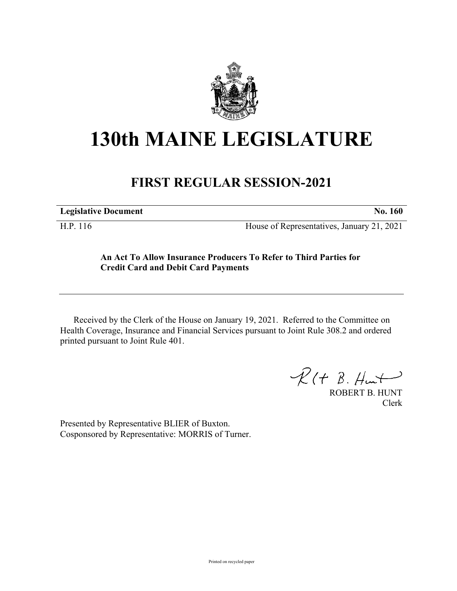

## **130th MAINE LEGISLATURE**

## **FIRST REGULAR SESSION-2021**

**Legislative Document No. 160**

H.P. 116 House of Representatives, January 21, 2021

## **An Act To Allow Insurance Producers To Refer to Third Parties for Credit Card and Debit Card Payments**

Received by the Clerk of the House on January 19, 2021. Referred to the Committee on Health Coverage, Insurance and Financial Services pursuant to Joint Rule 308.2 and ordered printed pursuant to Joint Rule 401.

 $R(H B. H<sub>un</sub>+)$ 

ROBERT B. HUNT Clerk

Presented by Representative BLIER of Buxton. Cosponsored by Representative: MORRIS of Turner.